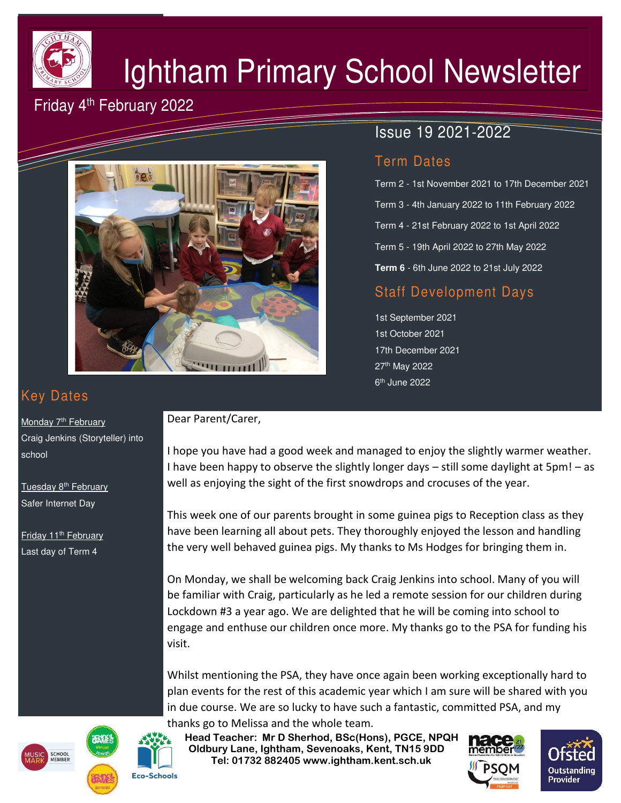

# Ightham Primary School Newsletter

## Friday 4<sup>th</sup> February 2022



## Issue 19 2021-2022

#### Term Dates

Term 2 - 1st November 2021 to 17th December 2021 Term 3 - 4th January 2022 to 11th February 2022 Term 4 - 21st February 2022 to 1st April 2022 Term 5 - 19th April 2022 to 27th May 2022 **Term 6** - 6th June 2022 to 21st July 2022

## Staff Development Days

1st September 2021 1st October 2021 17th December 2021 27th May 2022 6<sup>th</sup> June 2022

# Key Dates

Monday 7<sup>th</sup> February Craig Jenkins (Storyteller) into school

Tuesday 8<sup>th</sup> February Safer Internet Day

Friday 11<sup>th</sup> February Last day of Term 4

#### Dear Parent/Carer,

I hope you have had a good week and managed to enjoy the slightly warmer weather. I have been happy to observe the slightly longer days – still some daylight at 5pm! – as well as enjoying the sight of the first snowdrops and crocuses of the year.

This week one of our parents brought in some guinea pigs to Reception class as they have been learning all about pets. They thoroughly enjoyed the lesson and handling the very well behaved guinea pigs. My thanks to Ms Hodges for bringing them in.

On Monday, we shall be welcoming back Craig Jenkins into school. Many of you will be familiar with Craig, particularly as he led a remote session for our children during Lockdown #3 a year ago. We are delighted that he will be coming into school to engage and enthuse our children once more. My thanks go to the PSA for funding his visit.

Whilst mentioning the PSA, they have once again been working exceptionally hard to plan events for the rest of this academic year which I am sure will be shared with you in due course. We are so lucky to have such a fantastic, committed PSA, and my thanks go to Melissa and the whole team.

 **Head Teacher: Mr D Sherhod, BSc(Hons), PGCE, NPQH Oldbury Lane, Ightham, Sevenoaks, Kent, TN15 9DD** EXERIGING THE **TELE: 01732 882405 www.ightham.kent.sch.uk**<br>Tel: 01732 882405 www.ightham.kent.sch.uk









**Eco-Schools**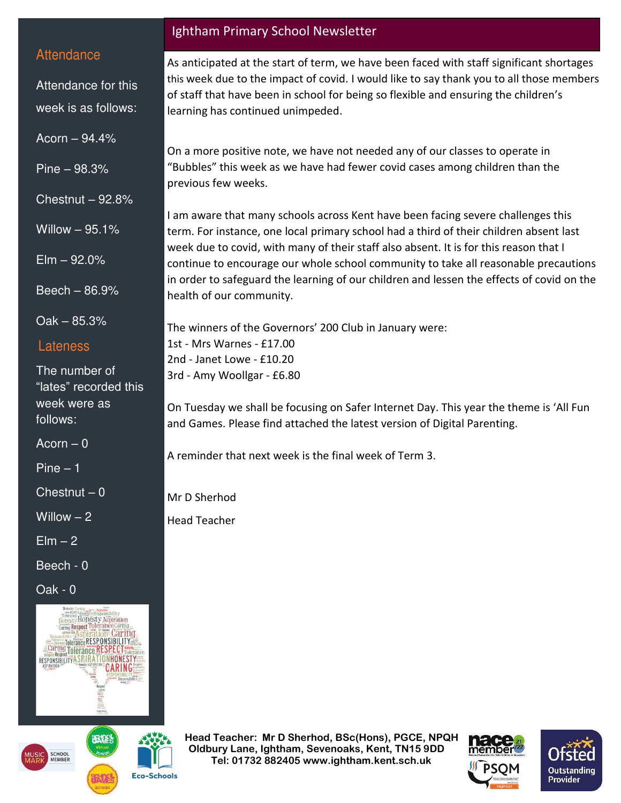#### **Attendance**

Attendance for this week is as follows:

Acorn – 94.4%

Pine – 98.3%

Chestnut – 92.8%

Willow – 95.1%

 $E$ lm  $-92.0\%$ 

Beech – 86.9%

Oak – 85.3%

#### Lateness

The number of "lates" recorded this week were as follows:

 $Acorn - 0$ 

Pine – 1

 $Chestnut - 0$ 

Willow  $-2$ 

 $E$ lm  $-2$ 

Beech - 0

Oak - 0





**Eco-Schools** 

#### Ightham Primary School Newsletter

As anticipated at the start of term, we have been faced with staff significant shortages this week due to the impact of covid. I would like to say thank you to all those members of staff that have been in school for being so flexible and ensuring the children's learning has continued unimpeded.

On a more positive note, we have not needed any of our classes to operate in "Bubbles" this week as we have had fewer covid cases among children than the previous few weeks.

I am aware that many schools across Kent have been facing severe challenges this term. For instance, one local primary school had a third of their children absent last week due to covid, with many of their staff also absent. It is for this reason that I continue to encourage our whole school community to take all reasonable precautions in order to safeguard the learning of our children and lessen the effects of covid on the health of our community.

The winners of the Governors' 200 Club in January were: 1st - Mrs Warnes - £17.00 2nd - Janet Lowe - £10.20 3rd - Amy Woollgar - £6.80

On Tuesday we shall be focusing on Safer Internet Day. This year the theme is 'All Fun and Games. Please find attached the latest version of Digital Parenting.

A reminder that next week is the final week of Term 3.

Mr D Sherhod

Head Teacher